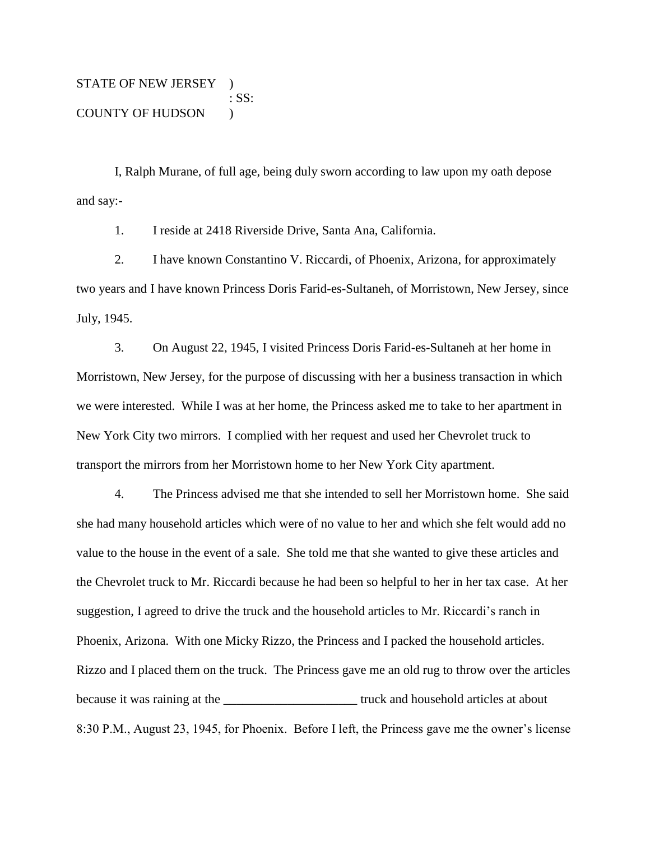STATE OF NEW JERSEY ) : SS: COUNTY OF HUDSON )

I, Ralph Murane, of full age, being duly sworn according to law upon my oath depose and say:-

1. I reside at 2418 Riverside Drive, Santa Ana, California.

2. I have known Constantino V. Riccardi, of Phoenix, Arizona, for approximately two years and I have known Princess Doris Farid-es-Sultaneh, of Morristown, New Jersey, since July, 1945.

3. On August 22, 1945, I visited Princess Doris Farid-es-Sultaneh at her home in Morristown, New Jersey, for the purpose of discussing with her a business transaction in which we were interested. While I was at her home, the Princess asked me to take to her apartment in New York City two mirrors. I complied with her request and used her Chevrolet truck to transport the mirrors from her Morristown home to her New York City apartment.

4. The Princess advised me that she intended to sell her Morristown home. She said she had many household articles which were of no value to her and which she felt would add no value to the house in the event of a sale. She told me that she wanted to give these articles and the Chevrolet truck to Mr. Riccardi because he had been so helpful to her in her tax case. At her suggestion, I agreed to drive the truck and the household articles to Mr. Riccardi's ranch in Phoenix, Arizona. With one Micky Rizzo, the Princess and I packed the household articles. Rizzo and I placed them on the truck. The Princess gave me an old rug to throw over the articles because it was raining at the <u>secure in the security of the security</u> truck and household articles at about 8:30 P.M., August 23, 1945, for Phoenix. Before I left, the Princess gave me the owner's license